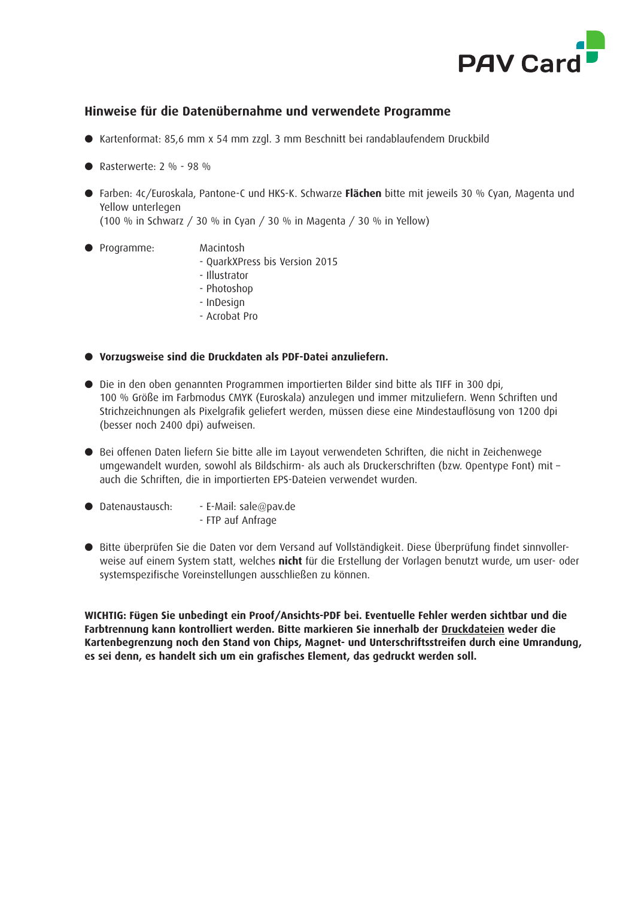

## **Hinweise für die Datenübernahme und verwendete Programme**

- l Kartenformat: 85,6 mm x 54 mm zzgl. 3 mm Beschnitt bei randablaufendem Druckbild
- Rasterwerte:  $2\% 98\%$
- Farben: 4c/Euroskala, Pantone-C und HKS-K. Schwarze Flächen bitte mit jeweils 30 % Cyan, Magenta und Yellow unterlegen

(100 % in Schwarz / 30 % in Cyan / 30 % in Magenta / 30 % in Yellow)

- l Programme: Macintosh
	-
	- QuarkXPress bis Version 2015
	- Illustrator
	- Photoshop
	- InDesign
	- Acrobat Pro

## l **Vorzugsweise sind die Druckdaten als PDF-Datei anzuliefern.**

- l Die in den oben genannten Programmen importierten Bilder sind bitte als TIFF in 300 dpi, 100 % Größe im Farbmodus CMYK (Euroskala) anzulegen und immer mitzuliefern. Wenn Schriften und Strichzeichnungen als Pixelgrafik geliefert werden, müssen diese eine Mindestauflösung von 1200 dpi (besser noch 2400 dpi) aufweisen.
- l Bei offenen Daten liefern Sie bitte alle im Layout verwendeten Schriften, die nicht in Zeichenwege umgewandelt wurden, sowohl als Bildschirm- als auch als Druckerschriften (bzw. Opentype Font) mit – auch die Schriften, die in importierten EPS-Dateien verwendet wurden.
- $\bullet$  Datenaustausch: E-Mail: sale@pav.de
	- FTP auf Anfrage
- Bitte überprüfen Sie die Daten vor dem Versand auf Vollständigkeit. Diese Überprüfung findet sinnvollerweise auf einem System statt, welches **nicht** für die Erstellung der Vorlagen benutzt wurde, um user- oder systemspezifische Voreinstellungen ausschließen zu können.

**WICHTIG: Fügen Sie unbedingt ein Proof/Ansichts-PDF bei. Eventuelle Fehler werden sichtbar und die Farbtrennung kann kontrolliert werden. Bitte markieren Sie innerhalb der Druckdateien weder die Kartenbegrenzung noch den Stand von Chips, Magnet- und Unterschriftsstreifen durch eine Umrandung, es sei denn, es handelt sich um ein grafisches Element, das gedruckt werden soll.**